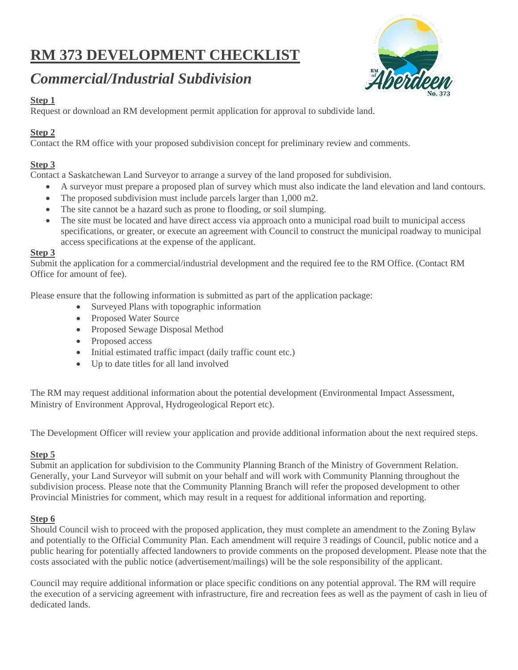# **RM 373 DEVELOPMENT CHECKLIST**



# *Commercial/Industrial Subdivision*

## **Step 1**

Request or download an RM development permit application for approval to subdivide land.

## **Step 2**

Contact the RM office with your proposed subdivision concept for preliminary review and comments.

## **Step 3**

Contact a Saskatchewan Land Surveyor to arrange a survey of the land proposed for subdivision.

- A surveyor must prepare a proposed plan of survey which must also indicate the land elevation and land contours.
- The proposed subdivision must include parcels larger than 1,000 m2.
- The site cannot be a hazard such as prone to flooding, or soil slumping.
- The site must be located and have direct access via approach onto a municipal road built to municipal access specifications, or greater, or execute an agreement with Council to construct the municipal roadway to municipal access specifications at the expense of the applicant.

#### **Step 3**

Submit the application for a commercial/industrial development and the required fee to the RM Office. (Contact RM Office for amount of fee).

Please ensure that the following information is submitted as part of the application package:

- Surveyed Plans with topographic information
- Proposed Water Source
- Proposed Sewage Disposal Method
- Proposed access
- Initial estimated traffic impact (daily traffic count etc.)
- Up to date titles for all land involved

The RM may request additional information about the potential development (Environmental Impact Assessment, Ministry of Environment Approval, Hydrogeological Report etc).

The Development Officer will review your application and provide additional information about the next required steps.

### **Step 5**

Submit an application for subdivision to the Community Planning Branch of the Ministry of Government Relation. Generally, your Land Surveyor will submit on your behalf and will work with Community Planning throughout the subdivision process. Please note that the Community Planning Branch will refer the proposed development to other Provincial Ministries for comment, which may result in a request for additional information and reporting.

### **Step 6**

Should Council wish to proceed with the proposed application, they must complete an amendment to the Zoning Bylaw and potentially to the Official Community Plan. Each amendment will require 3 readings of Council, public notice and a public hearing for potentially affected landowners to provide comments on the proposed development. Please note that the costs associated with the public notice (advertisement/mailings) will be the sole responsibility of the applicant.

Council may require additional information or place specific conditions on any potential approval. The RM will require the execution of a servicing agreement with infrastructure, fire and recreation fees as well as the payment of cash in lieu of dedicated lands.